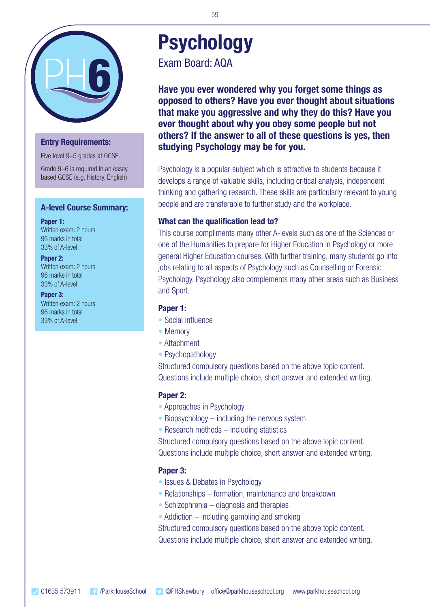

# **Entry Requirements:**

Five level 9–5 grades at GCSE.

Grade 9–6 is required in an essay based GCSE (e.g. History, English).

#### **A-level Course Summary:**

**Paper 1:** Written exam: 2 hours 96 marks in total 33% of A-level

#### **Paper 2:**

Written exam: 2 hours 96 marks in total 33% of A-level

**Paper 3:** Written exam: 2 hours 96 marks in total 33% of A-level

# **Psychology**

Exam Board: AQA

**Have you ever wondered why you forget some things as opposed to others? Have you ever thought about situations that make you aggressive and why they do this? Have you ever thought about why you obey some people but not others? If the answer to all of these questions is yes, then studying Psychology may be for you.**

Psychology is a popular subject which is attractive to students because it develops a range of valuable skills, including critical analysis, independent thinking and gathering research. These skills are particularly relevant to young people and are transferable to further study and the workplace.

### **What can the qualification lead to?**

This course compliments many other A-levels such as one of the Sciences or one of the Humanities to prepare for Higher Education in Psychology or more general Higher Education courses. With further training, many students go into jobs relating to all aspects of Psychology such as Counselling or Forensic Psychology. Psychology also complements many other areas such as Business and Sport.

#### **Paper 1:**

- Social influence
- Memory
- Attachment
- Psychopathology

Structured compulsory questions based on the above topic content. Questions include multiple choice, short answer and extended writing.

#### **Paper 2:**

- Approaches in Psychology
- Biopsychology including the nervous system
- Research methods including statistics

Structured compulsory questions based on the above topic content. Questions include multiple choice, short answer and extended writing.

## **Paper 3:**

- Issues & Debates in Psychology
- Relationships formation, maintenance and breakdown
- Schizophrenia diagnosis and therapies
- Addiction including gambling and smoking

Structured compulsory questions based on the above topic content. Questions include multiple choice, short answer and extended writing.

59